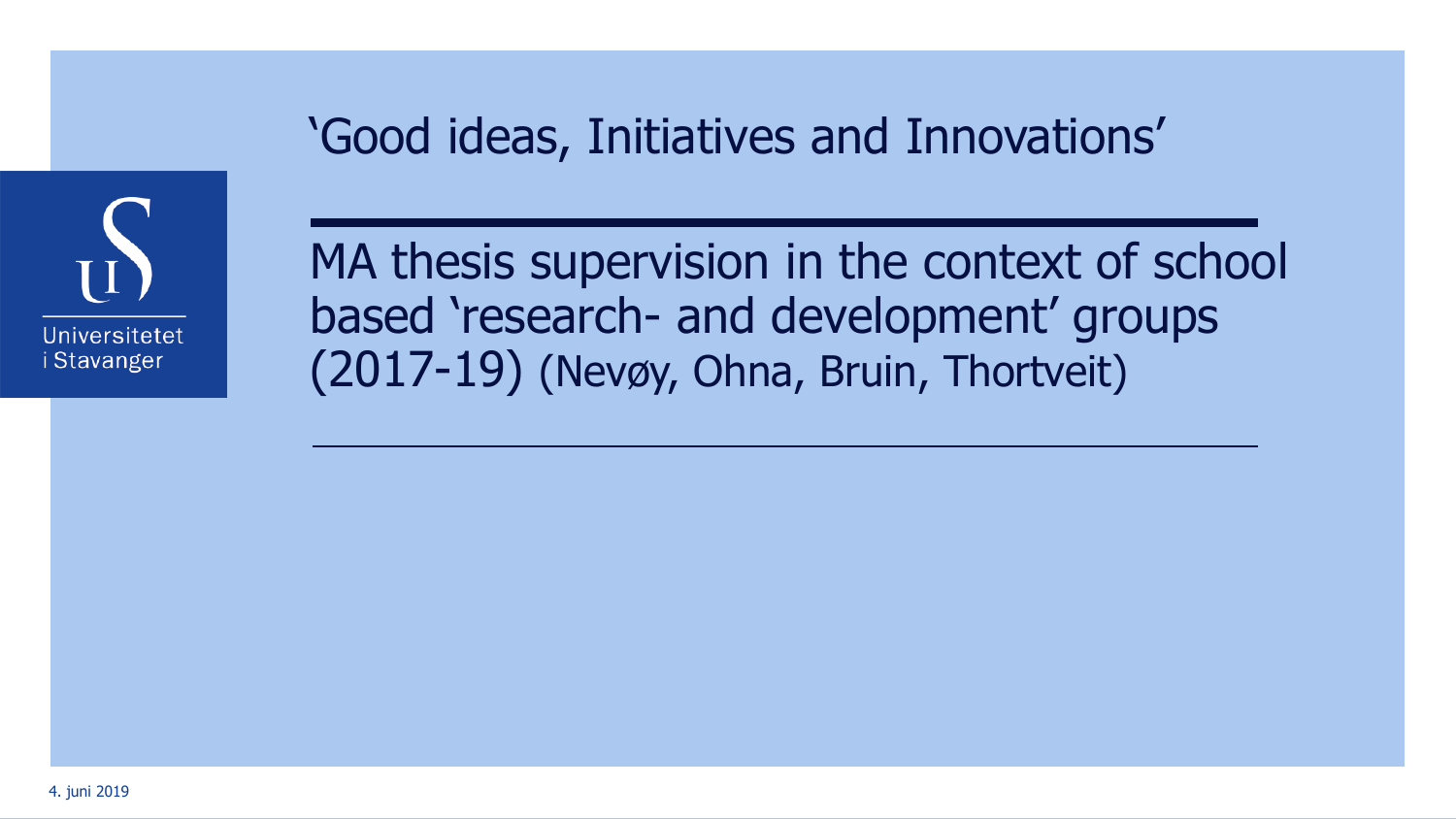

'Good ideas, Initiatives and Innovations'

MA thesis supervision in the context of school based 'research- and development' groups (2017-19) (Nevøy, Ohna, Bruin, Thortveit)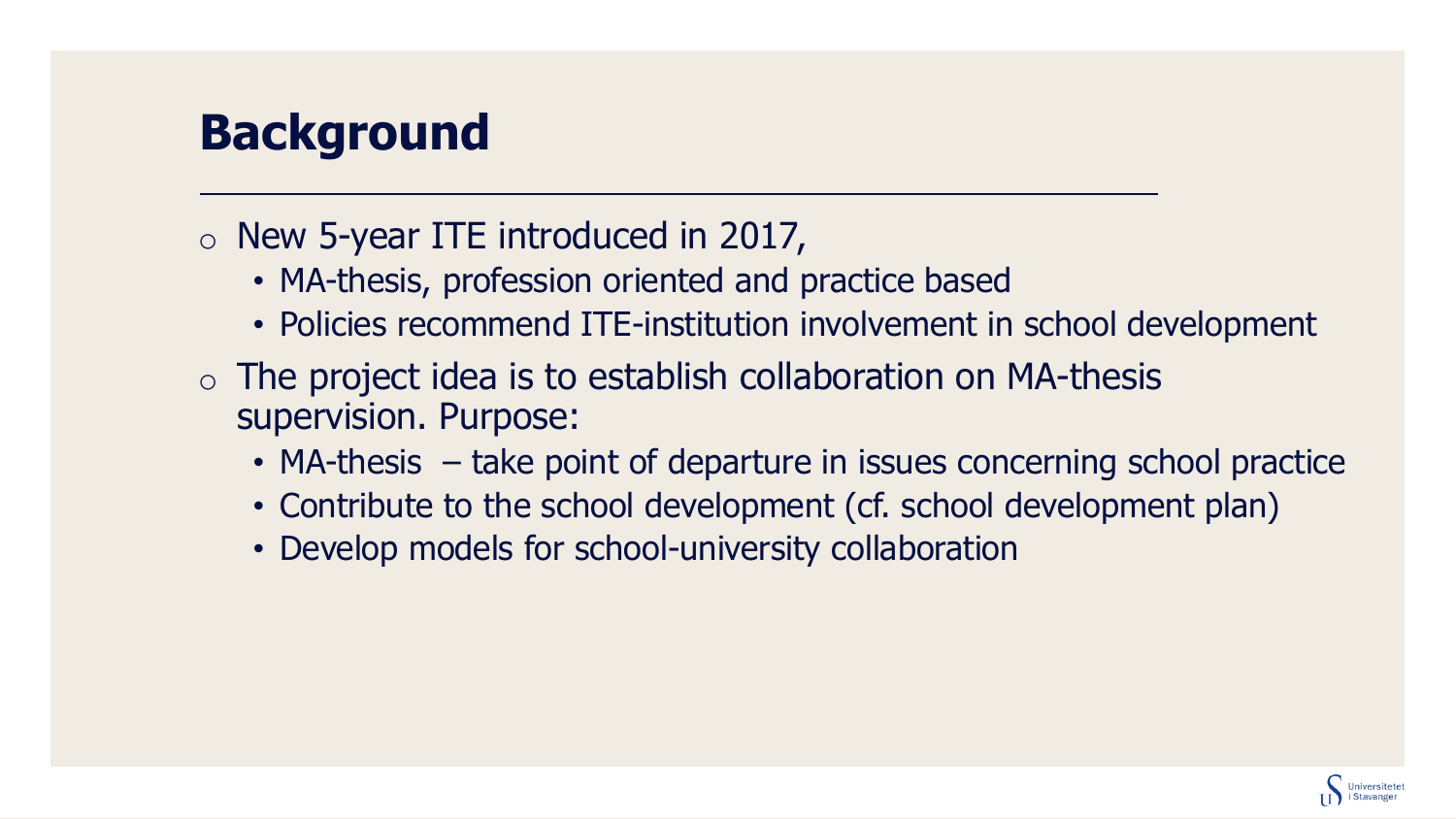# **Background**

#### o New 5-year ITE introduced in 2017,

- MA-thesis, profession oriented and practice based
- Policies recommend ITE-institution involvement in school development
- $\circ$  The project idea is to establish collaboration on MA-thesis supervision. Purpose:
	- MA-thesis take point of departure in issues concerning school practice
	- Contribute to the school development (cf. school development plan)
	- Develop models for school-university collaboration

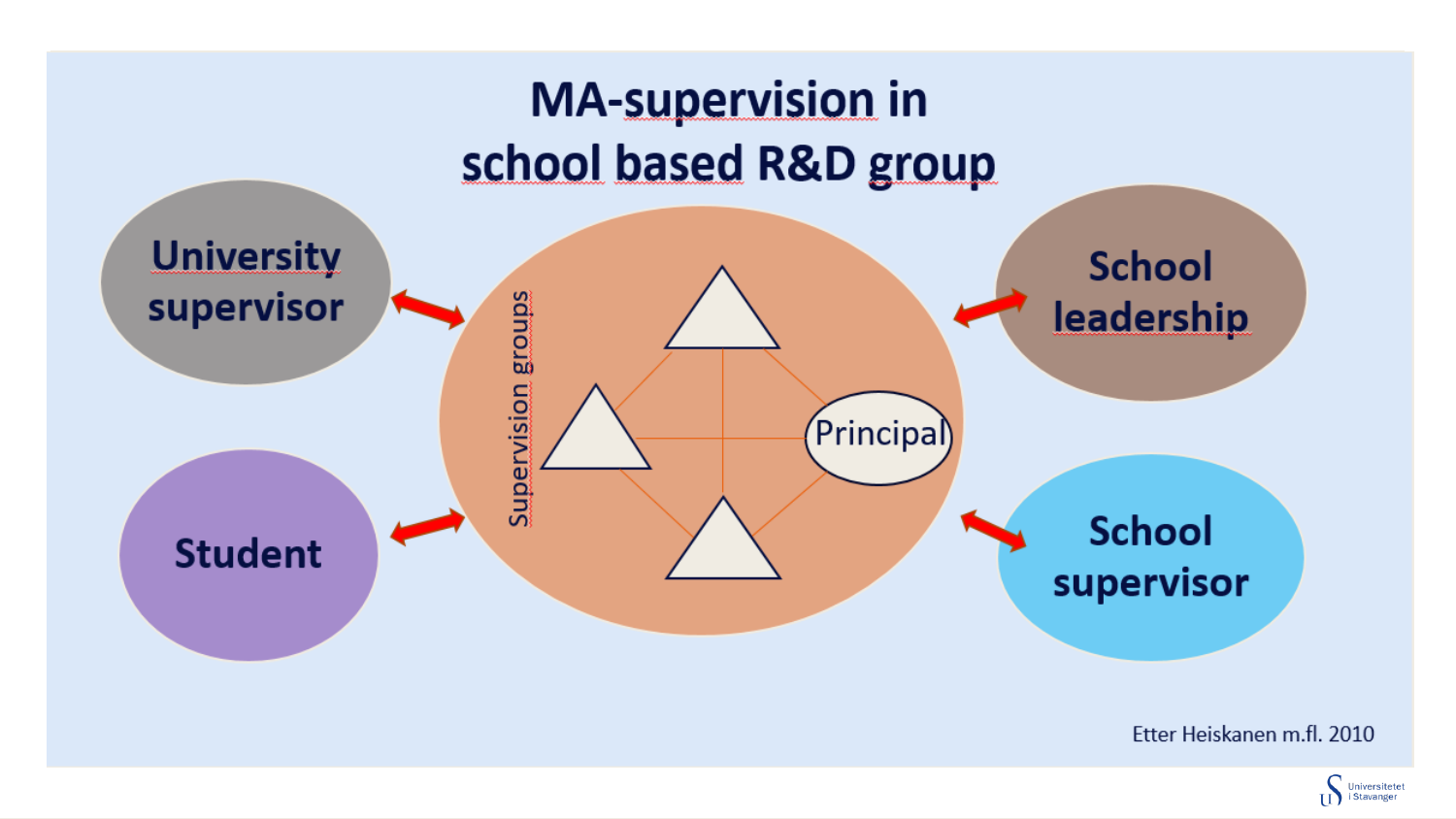

Etter Heiskanen m.fl. 2010

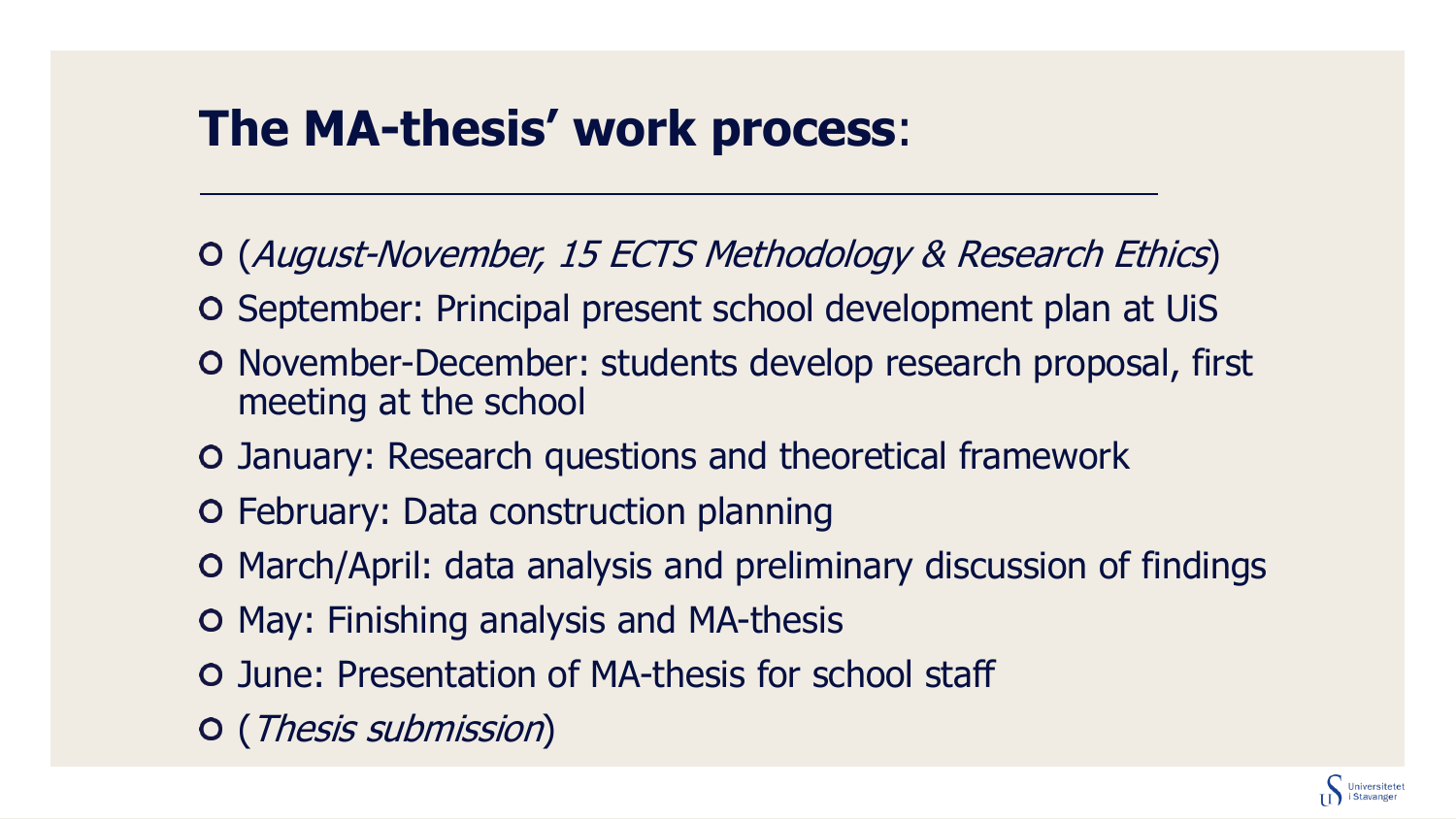## **The MA-thesis' work process**:

- (August-November, 15 ECTS Methodology & Research Ethics)
- September: Principal present school development plan at UiS
- O November-December: students develop research proposal, first meeting at the school
- January: Research questions and theoretical framework
- February: Data construction planning
- March/April: data analysis and preliminary discussion of findings
- May: Finishing analysis and MA-thesis
- June: Presentation of MA-thesis for school staff
- (Thesis submission)

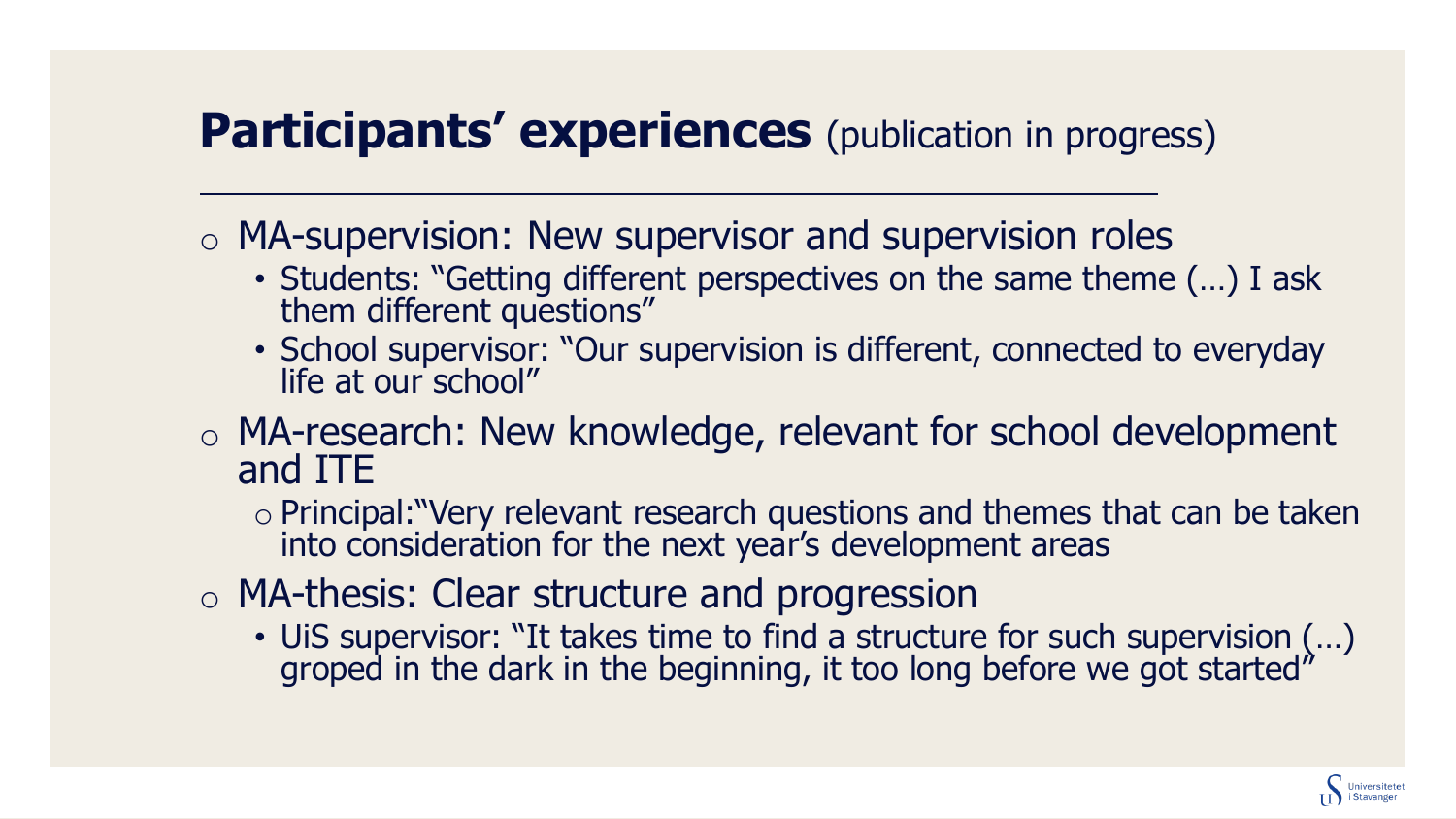#### **Participants' experiences** (publication in progress)

o MA-supervision: New supervisor and supervision roles

- Students: "Getting different perspectives on the same theme (…) I ask them different questions"
- School supervisor: "Our supervision is different, connected to everyday life at our school"
- o MA-research: New knowledge, relevant for school development and ITE
	- o Principal:"Very relevant research questions and themes that can be taken into consideration for the next year's development areas
- o MA-thesis: Clear structure and progression
	- UiS supervisor: "It takes time to find a structure for such supervision (…) groped in the dark in the beginning, it too long before we got started"